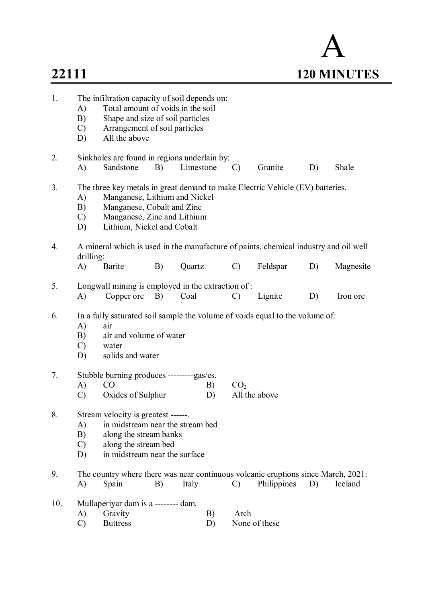# A **22111 120 MINUTES** 1. The infiltration capacity of soil depends on: A) Total amount of voids in the soil B) Shape and size of soil particles C) Arrangement of soil particles D) All the above 2. Sinkholes are found in regions underlain by: A) Sandstone B) Limestone C) Granite D) Shale 3. The three key metals in great demand to make Electric Vehicle (EV) batteries. A) Manganese, Lithium and Nickel B) Manganese, Cobalt and Zinc C) Manganese, Zinc and Lithium D) Lithium, Nickel and Cobalt 4. A mineral which is used in the manufacture of paints, chemical industry and oil well drilling: A) Barite B) Quartz C) Feldspar D) Magnesite 5. Longwall mining is employed in the extraction of : A) Copper ore B) Coal C) Lignite D) Iron ore 6. In a fully saturated soil sample the volume of voids equal to the volume of: A) air B) air and volume of water C) water D) solids and water 7. Stubble burning produces ---------gas/es. A) CO B)  $CO<sub>2</sub>$ C) Oxides of Sulphur D) All the above 8. Stream velocity is greatest ------. A) in midstream near the stream bed B) along the stream banks C) along the stream bed D) in midstream near the surface 9. The country where there was near continuous volcanic eruptions since March, 2021: A) Spain B) Italy C) Philippines D) Iceland 10. Mullaperiyar dam is a -------- dam.

A) Gravity B) Arch C) Buttress D) None of these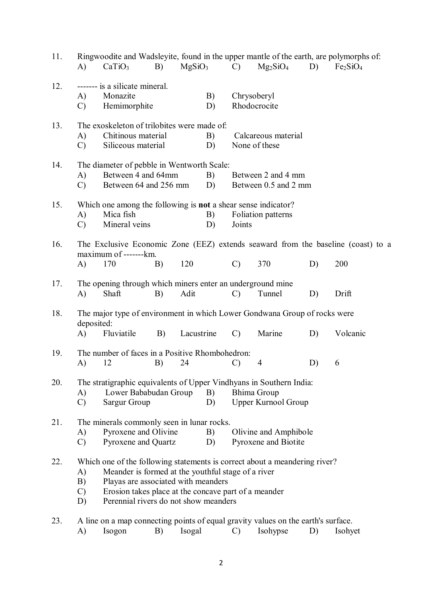| 11. | A)                              | CaTiO <sub>3</sub>                                                                                                                                                                                                                                                       | B) | MgSiO <sub>3</sub> |          | $\mathcal{C}$ | $Mg_2SiO_4$                                   | D) | Ringwoodite and Wadsleyite, found in the upper mantle of the earth, are polymorphs of:<br>Fe <sub>2</sub> SiO <sub>4</sub> |
|-----|---------------------------------|--------------------------------------------------------------------------------------------------------------------------------------------------------------------------------------------------------------------------------------------------------------------------|----|--------------------|----------|---------------|-----------------------------------------------|----|----------------------------------------------------------------------------------------------------------------------------|
| 12. | A)<br>$\mathcal{C}$             | ------- is a silicate mineral.<br>Monazite<br>Hemimorphite                                                                                                                                                                                                               |    |                    | B)<br>D) | Chrysoberyl   | Rhodocrocite                                  |    |                                                                                                                            |
| 13. | A)<br>$\mathcal{C}$             | The exoskeleton of trilobites were made of:<br>Chitinous material<br>Siliceous material                                                                                                                                                                                  |    |                    | B)<br>D) |               | Calcareous material<br>None of these          |    |                                                                                                                            |
| 14. | A)<br>$\mathcal{C}$             | The diameter of pebble in Wentworth Scale:<br>Between 4 and 64mm<br>Between 64 and 256 mm                                                                                                                                                                                |    |                    | B)<br>D) |               | Between 2 and 4 mm<br>Between 0.5 and 2 mm    |    |                                                                                                                            |
| 15. | A)<br>$\mathcal{C}$             | Which one among the following is <b>not</b> a shear sense indicator?<br>Mica fish<br>Mineral veins                                                                                                                                                                       |    |                    | B)<br>D) | Joints        | Foliation patterns                            |    |                                                                                                                            |
| 16. | $\bf{A}$                        | maximum of -------km.<br>170                                                                                                                                                                                                                                             | B) | 120                |          | $\mathcal{C}$ | 370                                           | D) | The Exclusive Economic Zone (EEZ) extends seaward from the baseline (coast) to a<br>200                                    |
| 17. | A)                              | The opening through which miners enter an underground mine<br>Shaft                                                                                                                                                                                                      | B) | Adit               |          | $\mathcal{C}$ | Tunnel                                        | D) | Drift                                                                                                                      |
| 18. | deposited:<br>A)                | The major type of environment in which Lower Gondwana Group of rocks were<br>Fluviatile                                                                                                                                                                                  | B) | Lacustrine         |          | $\mathcal{C}$ | Marine                                        | D) | Volcanic                                                                                                                   |
| 19. | A)                              | The number of faces in a Positive Rhombohedron:<br>12                                                                                                                                                                                                                    | B) | 24                 |          | $\mathcal{C}$ | 4                                             | D) | 6                                                                                                                          |
| 20. | A)<br>$\mathcal{C}$             | The stratigraphic equivalents of Upper Vindhyans in Southern India:<br>Lower Bababudan Group<br><b>Sargur Group</b>                                                                                                                                                      |    |                    | B)<br>D) |               | Bhima Group<br><b>Upper Kurnool Group</b>     |    |                                                                                                                            |
| 21. | A)<br>$\mathcal{C}$             | The minerals commonly seen in lunar rocks.<br>Pyroxene and Olivine<br>Pyroxene and Quartz                                                                                                                                                                                |    |                    | B)<br>D) |               | Olivine and Amphibole<br>Pyroxene and Biotite |    |                                                                                                                            |
| 22. | A)<br>B)<br>$\mathcal{C}$<br>D) | Which one of the following statements is correct about a meandering river?<br>Meander is formed at the youthful stage of a river<br>Playas are associated with meanders<br>Erosion takes place at the concave part of a meander<br>Perennial rivers do not show meanders |    |                    |          |               |                                               |    |                                                                                                                            |
| 23. | A)                              | A line on a map connecting points of equal gravity values on the earth's surface.<br>Isogon                                                                                                                                                                              | B) | Isogal             |          | C)            | Isohypse                                      | D) | Isohyet                                                                                                                    |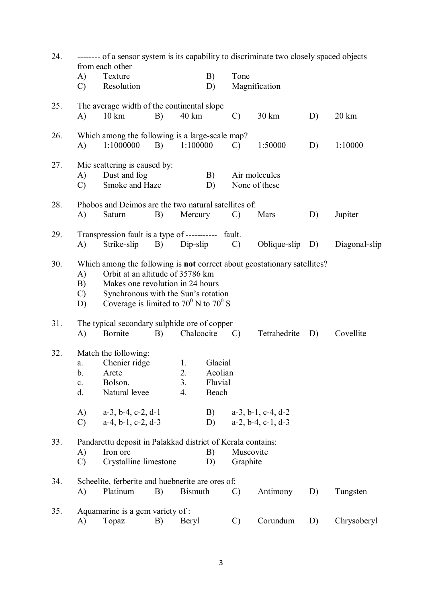| 24. |                                  | from each other                                                                                                                                            |    |                      |                                        | -------- of a sensor system is its capability to discriminate two closely spaced objects |                                                                          |    |                  |  |  |
|-----|----------------------------------|------------------------------------------------------------------------------------------------------------------------------------------------------------|----|----------------------|----------------------------------------|------------------------------------------------------------------------------------------|--------------------------------------------------------------------------|----|------------------|--|--|
|     | A)<br>$\mathcal{C}$              | Texture<br>Resolution                                                                                                                                      |    |                      | B)<br>D)                               | Tone                                                                                     | Magnification                                                            |    |                  |  |  |
| 25. | A)                               | The average width of the continental slope<br>$10 \text{ km}$                                                                                              | B) | 40 km                |                                        | $\mathcal{C}$                                                                            | 30 km                                                                    | D) | $20 \mathrm{km}$ |  |  |
| 26. | A)                               | Which among the following is a large-scale map?<br>1:1000000                                                                                               | B) | 1:100000             |                                        | $\mathcal{C}$                                                                            | 1:50000                                                                  | D) | 1:10000          |  |  |
| 27. | A)<br>$\mathcal{C}$              | Mie scattering is caused by:<br>Dust and fog<br>Smoke and Haze                                                                                             |    |                      | B)<br>D)                               |                                                                                          | Air molecules<br>None of these                                           |    |                  |  |  |
| 28. | A)                               | Phobos and Deimos are the two natural satellities of:<br>Saturn                                                                                            | B) | Mercury              |                                        | $\mathcal{C}$                                                                            | Mars                                                                     | D) | Jupiter          |  |  |
| 29. | A)                               | Transpression fault is a type of ----------- fault.<br>Strike-slip                                                                                         | B) | Dip-slip             |                                        | $\mathcal{C}$                                                                            | Oblique-slip                                                             | D) | Diagonal-slip    |  |  |
| 30. | A)<br>B)<br>$\mathcal{C}$<br>D)  | Orbit at an altitude of 35786 km<br>Makes one revolution in 24 hours<br>Synchronous with the Sun's rotation<br>Coverage is limited to $70^0$ N to $70^0$ S |    |                      |                                        |                                                                                          | Which among the following is not correct about geostationary satellites? |    |                  |  |  |
| 31. | A)                               | The typical secondary sulphide ore of copper<br>Bornite                                                                                                    | B) | Chalcocite           |                                        | $\mathcal{C}$                                                                            | Tetrahedrite                                                             | D) | Covellite        |  |  |
| 32. | a.<br>b.<br>$\mathbf{c}$ .<br>d. | Match the following:<br>Chenier ridge<br>Arete<br>Bolson.<br>Natural levee                                                                                 |    | 1.<br>2.<br>3.<br>4. | Glacial<br>Aeolian<br>Fluvial<br>Beach |                                                                                          |                                                                          |    |                  |  |  |
|     | A)<br>$\mathcal{C}$              | $a-3$ , $b-4$ , $c-2$ , $d-1$<br>$a-4$ , $b-1$ , $c-2$ , $d-3$                                                                                             |    |                      | B)<br>D)                               |                                                                                          | $a-3$ , $b-1$ , $c-4$ , $d-2$<br>$a-2$ , $b-4$ , $c-1$ , $d-3$           |    |                  |  |  |
| 33. | A)<br>$\mathcal{C}$              | Pandarettu deposit in Palakkad district of Kerala contains:<br>Iron ore<br>Crystalline limestone                                                           |    |                      | B)<br>D)                               | Muscovite<br>Graphite                                                                    |                                                                          |    |                  |  |  |
| 34. | A)                               | Scheelite, ferberite and huebnerite are ores of:<br>Platinum                                                                                               | B) | <b>Bismuth</b>       |                                        | $\mathcal{C}$                                                                            | Antimony                                                                 | D) | Tungsten         |  |  |
| 35. | A)                               | Aquamarine is a gem variety of :<br>Topaz                                                                                                                  | B) | Beryl                |                                        | $\mathcal{C}$                                                                            | Corundum                                                                 | D) | Chrysoberyl      |  |  |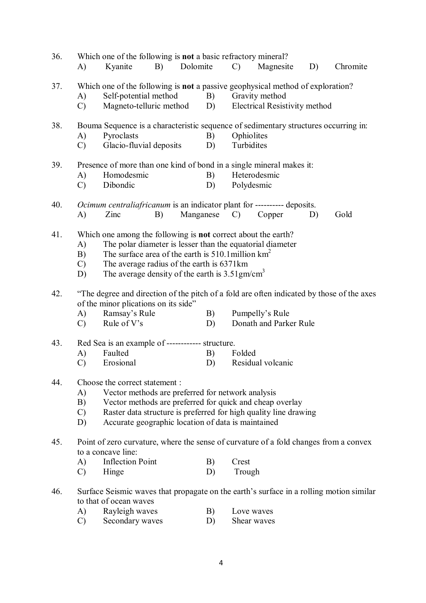| 36. | Which one of the following is <b>not</b> a basic refractory mineral?<br>Dolomite<br>A)<br>Kyanite<br>B)                                                                                                                                                                                                                                       |          | $\mathcal{C}$              | Magnesite                                              | D) | Chromite |  |  |
|-----|-----------------------------------------------------------------------------------------------------------------------------------------------------------------------------------------------------------------------------------------------------------------------------------------------------------------------------------------------|----------|----------------------------|--------------------------------------------------------|----|----------|--|--|
| 37. | Which one of the following is <b>not</b> a passive geophysical method of exploration?<br>Self-potential method<br>A)<br>Magneto-telluric method<br>$\mathcal{C}$<br>D)                                                                                                                                                                        | B)       |                            | Gravity method<br><b>Electrical Resistivity method</b> |    |          |  |  |
| 38. | Bouma Sequence is a characteristic sequence of sedimentary structures occurring in:<br>Pyroclasts<br>A)<br>Glacio-fluvial deposits<br>$\mathcal{C}$                                                                                                                                                                                           | B)<br>D) | Ophiolites<br>Turbidites   |                                                        |    |          |  |  |
| 39. | Presence of more than one kind of bond in a single mineral makes it:<br>Homodesmic<br>A)<br>Dibondic<br>$\mathcal{C}$                                                                                                                                                                                                                         | B)<br>D) | Heterodesmic<br>Polydesmic |                                                        |    |          |  |  |
| 40. | Ocimum centraliafricanum is an indicator plant for ---------- deposits.<br>A)<br>Zinc<br>Manganese<br>B)                                                                                                                                                                                                                                      |          | $\mathcal{C}$              | Copper                                                 | D) | Gold     |  |  |
| 41. | Which one among the following is <b>not</b> correct about the earth?<br>The polar diameter is lesser than the equatorial diameter<br>A)<br>The surface area of the earth is $510.1$ million $km^2$<br>B)<br>The average radius of the earth is 6371km<br>$\mathcal{C}$<br>The average density of the earth is $3.51$ gm/cm <sup>3</sup><br>D) |          |                            |                                                        |    |          |  |  |
| 42. | "The degree and direction of the pitch of a fold are often indicated by those of the axes<br>of the minor plications on its side"<br>Ramsay's Rule<br>A)<br>Rule of V's<br>$\mathcal{C}$                                                                                                                                                      | B)<br>D) |                            | Pumpelly's Rule<br>Donath and Parker Rule              |    |          |  |  |
| 43. | Red Sea is an example of ------------ structure.<br>Faulted<br>A)<br>$\mathcal{C}$<br>Erosional                                                                                                                                                                                                                                               | B)<br>D) | Folded                     | Residual volcanic                                      |    |          |  |  |
| 44. | Choose the correct statement :<br>Vector methods are preferred for network analysis<br>A)<br>Vector methods are preferred for quick and cheap overlay<br>B)<br>Raster data structure is preferred for high quality line drawing<br>$\mathcal{C}$<br>Accurate geographic location of data is maintained<br>D)                                  |          |                            |                                                        |    |          |  |  |
| 45. | Point of zero curvature, where the sense of curvature of a fold changes from a convex<br>to a concave line:<br><b>Inflection Point</b><br>A)<br>Hinge<br>$\mathcal{C}$                                                                                                                                                                        | B)<br>D) | Crest<br>Trough            |                                                        |    |          |  |  |
| 46. | Surface Seismic waves that propagate on the earth's surface in a rolling motion similar<br>to that of ocean waves<br>Rayleigh waves<br>A)<br>Secondary waves<br>$\mathcal{C}$                                                                                                                                                                 | B)<br>D) | Love waves<br>Shear waves  |                                                        |    |          |  |  |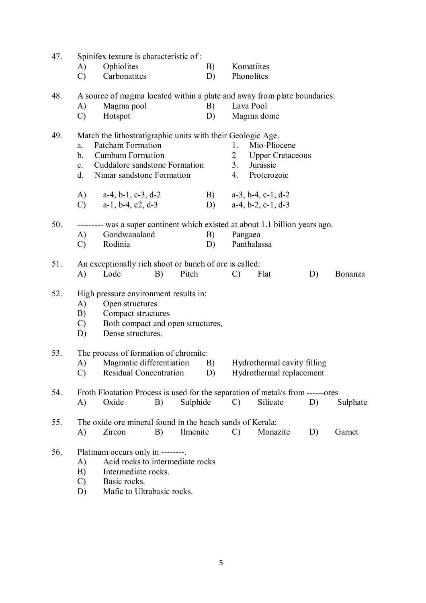| 47. |               | Spinifex texture is characteristic of:                                         |    |          |    |                |                                |    |          |
|-----|---------------|--------------------------------------------------------------------------------|----|----------|----|----------------|--------------------------------|----|----------|
|     | A)            | Ophiolites                                                                     |    |          | B) | Komatiites     |                                |    |          |
|     | $\mathcal{C}$ | Carbonatites                                                                   |    |          | D) | Phonolites     |                                |    |          |
| 48. |               | A source of magma located within a plate and away from plate boundaries:       |    |          |    |                |                                |    |          |
|     | A)            | Magma pool                                                                     |    |          | B) | Lava Pool      |                                |    |          |
|     | $\mathcal{C}$ | Hotspot                                                                        |    |          | D) |                | Magma dome                     |    |          |
|     |               |                                                                                |    |          |    |                |                                |    |          |
| 49. |               | Match the lithostratigraphic units with their Geologic Age.                    |    |          |    |                |                                |    |          |
|     | a.            | Patcham Formation                                                              |    |          |    | 1.             | Mio-Pliocene                   |    |          |
|     | b.            | <b>Cumbum Formation</b>                                                        |    |          |    | $\overline{2}$ | <b>Upper Cretaceous</b>        |    |          |
|     | $c_{\cdot}$   | Cuddalore sandstone Formation                                                  |    |          |    | 3.             | Jurassic                       |    |          |
|     | d.            | Nimar sandstone Formation                                                      |    |          |    | 4.             | Proterozoic                    |    |          |
|     | (A)           | $a-4$ , $b-1$ , $c-3$ , $d-2$                                                  |    |          | B) |                | $a-3$ , $b-4$ , $c-1$ , $d-2$  |    |          |
|     | $\mathcal{C}$ | $a-1$ , $b-4$ , $c2$ , $d-3$                                                   |    |          | D) |                | $a-4, b-2, c-1, d-3$           |    |          |
|     |               |                                                                                |    |          |    |                |                                |    |          |
| 50. |               | --------- was a super continent which existed at about 1.1 billion years ago.  |    |          |    |                |                                |    |          |
|     | A)            | Gondwanaland                                                                   |    |          | B) | Pangaea        |                                |    |          |
|     | $\mathcal{C}$ | Rodinia                                                                        |    |          | D) | Panthalassa    |                                |    |          |
| 51. |               | An exceptionally rich shoot or bunch of ore is called:                         |    |          |    |                |                                |    |          |
|     | A)            | Lode                                                                           | B) | Pitch    |    | $\mathcal{C}$  | Flat                           | D) | Bonanza  |
|     |               |                                                                                |    |          |    |                |                                |    |          |
| 52. |               | High pressure environment results in:                                          |    |          |    |                |                                |    |          |
|     | A)            | Open structures                                                                |    |          |    |                |                                |    |          |
|     | B)            | Compact structures                                                             |    |          |    |                |                                |    |          |
|     | $\mathcal{C}$ | Both compact and open structures,                                              |    |          |    |                |                                |    |          |
|     | D)            | Dense structures.                                                              |    |          |    |                |                                |    |          |
| 53. |               | The process of formation of chromite:                                          |    |          |    |                |                                |    |          |
|     | A)            | Magmatic differentiation                                                       |    |          |    |                | B) Hydrothermal cavity filling |    |          |
|     |               | C) Residual Concentration                                                      |    |          | D) |                | Hydrothermal replacement       |    |          |
|     |               |                                                                                |    |          |    |                |                                |    |          |
| 54. |               | Froth Floatation Process is used for the separation of metal/s from ------ores |    |          |    |                |                                |    |          |
|     | A)            | Oxide                                                                          | B) | Sulphide |    | $\mathcal{C}$  | Silicate                       | D) | Sulphate |
|     |               |                                                                                |    |          |    |                |                                |    |          |
| 55. |               | The oxide ore mineral found in the beach sands of Kerala:                      |    |          |    |                |                                |    |          |
|     | A)            | Zircon                                                                         | B) | Ilmenite |    | $\mathcal{C}$  | Monazite                       | D) | Garnet   |
| 56. |               | Platinum occurs only in --------.                                              |    |          |    |                |                                |    |          |
|     | A)            | Acid rocks to intermediate rocks                                               |    |          |    |                |                                |    |          |
|     | B)            | Intermediate rocks.                                                            |    |          |    |                |                                |    |          |
|     | $\mathcal{C}$ | Basic rocks.                                                                   |    |          |    |                |                                |    |          |
|     | D)            | Mafic to Ultrabasic rocks.                                                     |    |          |    |                |                                |    |          |
|     |               |                                                                                |    |          |    |                |                                |    |          |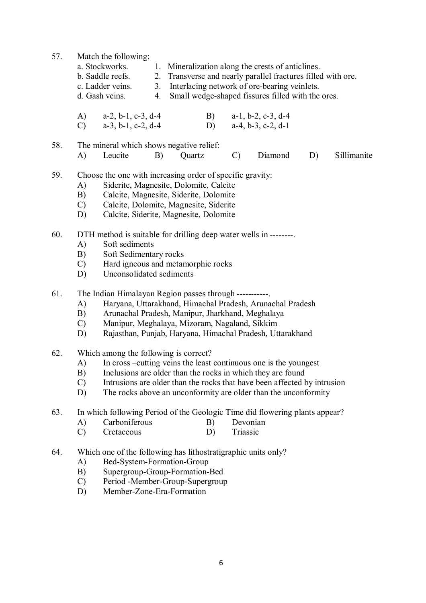57. Match the following:

| a. Stockworks.   |    | 1. Mineralization along the crests of anticlines.            |
|------------------|----|--------------------------------------------------------------|
| b. Saddle reefs. |    | 2. Transverse and nearly parallel fractures filled with ore. |
| c. Ladder veins. |    | 3. Interlacing network of ore-bearing veinlets.              |
| d. Gash veins.   | 4. | Small wedge-shaped fissures filled with the ores.            |

A) a-2, b-1, c-3, d-4 B) a-1, b-2, c-3, d-4

C) a-3, b-1, c-2, d-4 D) a-4, b-3, c-2, d-1

58. The mineral which shows negative relief: A) Leucite B) Quartz C) Diamond D) Sillimanite

- 59. Choose the one with increasing order of specific gravity:
	- A) Siderite, Magnesite, Dolomite, Calcite
	- B) Calcite, Magnesite, Siderite, Dolomite<br>C) Calcite, Dolomite, Magnesite, Siderite
	- C) Calcite, Dolomite, Magnesite, Siderite
	- D) Calcite, Siderite, Magnesite, Dolomite
- 60. DTH method is suitable for drilling deep water wells in --------.
	- A) Soft sediments
	- B) Soft Sedimentary rocks
	- C) Hard igneous and metamorphic rocks
	- D) Unconsolidated sediments
- 61. The Indian Himalayan Region passes through -----------.
	- A) Haryana, Uttarakhand, Himachal Pradesh, Arunachal Pradesh
	- B) Arunachal Pradesh, Manipur, Jharkhand, Meghalaya
	- C) Manipur, Meghalaya, Mizoram, Nagaland, Sikkim
	- D) Rajasthan, Punjab, Haryana, Himachal Pradesh, Uttarakhand
- 62. Which among the following is correct?
	- A) In cross –cutting veins the least continuous one is the youngest
	- B) Inclusions are older than the rocks in which they are found
	- C) Intrusions are older than the rocks that have been affected by intrusion
	- D) The rocks above an unconformity are older than the unconformity

63. In which following Period of the Geologic Time did flowering plants appear?

- A) Carboniferous B) Devonian
- C) Cretaceous D) Triassic
- 64. Which one of the following has lithostratigraphic units only?
	- A) Bed-System-Formation-Group
	- B) Supergroup-Group-Formation-Bed
	- C) Period -Member-Group-Supergroup
	- D) Member-Zone-Era-Formation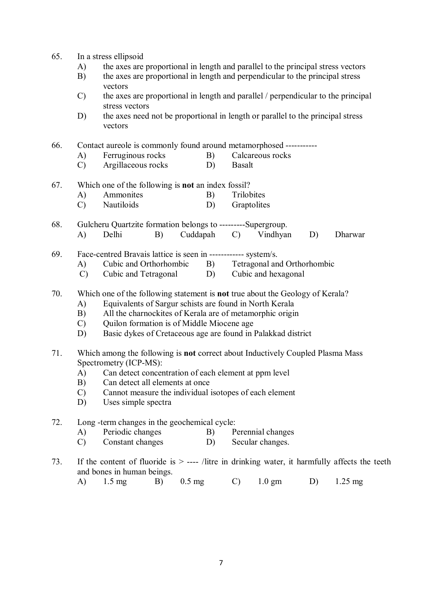- 65. In a stress ellipsoid
	- A) the axes are proportional in length and parallel to the principal stress vectors
	- B) the axes are proportional in length and perpendicular to the principal stress vectors
	- C) the axes are proportional in length and parallel / perpendicular to the principal stress vectors
	- D) the axes need not be proportional in length or parallel to the principal stress vectors

66. Contact aureole is commonly found around metamorphosed -----------

- A) Ferruginous rocks B) Calcareous rocks
- C) Argillaceous rocks D) Basalt

### 67. Which one of the following is **not** an index fossil?

- A) Ammonites B) Trilobites<br>
C) Nautiloids D) Graptolite
- Graptolites **D**
- 68. Gulcheru Quartzite formation belongs to ---------Supergroup. A) Delhi B) Cuddapah C) Vindhyan D) Dharwar

69. Face-centred Bravais lattice is seen in ------------ system/s.

- A) Cubic and Orthorhombic B) Tetragonal and Orthorhombic
- C) Cubic and Tetragonal D) Cubic and hexagonal

## 70. Which one of the following statement is **not** true about the Geology of Kerala?

- A) Equivalents of Sargur schists are found in North Kerala
- B) All the charnockites of Kerala are of metamorphic origin
- C) Quilon formation is of Middle Miocene age
- D) Basic dykes of Cretaceous age are found in Palakkad district
- 71. Which among the following is **not** correct about Inductively Coupled Plasma Mass Spectrometry (ICP-MS):
	- A) Can detect concentration of each element at ppm level
	- B) Can detect all elements at once
	- C) Cannot measure the individual isotopes of each element
	- D) Uses simple spectra

#### 72. Long -term changes in the geochemical cycle:

- A) Periodic changes B) Perennial changes
- C) Constant changes D) Secular changes.
- 73. If the content of fluoride is > ---- /litre in drinking water, it harmfully affects the teeth and bones in human beings.
	- A) 1.5 mg B) 0.5 mg C) 1.0 gm D) 1.25 mg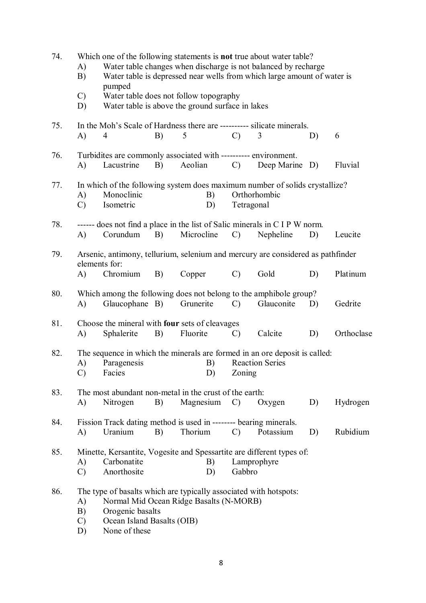| 74. | A)<br>B)<br>$\mathcal{C}$<br>D) | pumped<br>Water table does not follow topography<br>Water table is above the ground surface in lakes                                                                            |    |            |          |               | Which one of the following statements is <b>not</b> true about water table?<br>Water table changes when discharge is not balanced by recharge<br>Water table is depressed near wells from which large amount of water is |    |            |
|-----|---------------------------------|---------------------------------------------------------------------------------------------------------------------------------------------------------------------------------|----|------------|----------|---------------|--------------------------------------------------------------------------------------------------------------------------------------------------------------------------------------------------------------------------|----|------------|
| 75. | A)                              | 4                                                                                                                                                                               | B) | 5          |          | $\mathcal{C}$ | In the Moh's Scale of Hardness there are ---------- silicate minerals.<br>3                                                                                                                                              | D) | 6          |
| 76. | A)                              | Turbidites are commonly associated with ---------- environment.<br>Lacustrine                                                                                                   | B) | Aeolian    |          | $\mathcal{C}$ | Deep Marine D)                                                                                                                                                                                                           |    | Fluvial    |
| 77. | A)<br>$\mathcal{C}$             | Monoclinic<br>Isometric                                                                                                                                                         |    |            | B)<br>D) | Tetragonal    | In which of the following system does maximum number of solids crystallize?<br>Orthorhombic                                                                                                                              |    |            |
| 78. | A)                              | Corundum                                                                                                                                                                        | B) | Microcline |          | $\mathcal{C}$ | ------ does not find a place in the list of Salic minerals in C I P W norm.<br>Nepheline                                                                                                                                 | D) | Leucite    |
| 79. | A)                              | elements for:<br>Chromium                                                                                                                                                       | B) | Copper     |          | $\mathcal{C}$ | Arsenic, antimony, tellurium, selenium and mercury are considered as pathfinder<br>Gold                                                                                                                                  | D) | Platinum   |
| 80. | A)                              | Glaucophane B)                                                                                                                                                                  |    | Grunerite  |          | $\mathcal{C}$ | Which among the following does not belong to the amphibole group?<br>Glauconite                                                                                                                                          | D) | Gedrite    |
| 81. | A)                              | Choose the mineral with <b>four</b> sets of cleavages<br>Sphalerite                                                                                                             | B) | Fluorite   |          | $\mathcal{C}$ | Calcite                                                                                                                                                                                                                  | D) | Orthoclase |
| 82. | A)<br>$\mathcal{C}$             | Paragenesis<br>Facies                                                                                                                                                           |    |            | B)<br>D) | Zoning        | The sequence in which the minerals are formed in an ore deposit is called:<br><b>Reaction Series</b>                                                                                                                     |    |            |
| 83. | A)                              | The most abundant non-metal in the crust of the earth:<br>Nitrogen                                                                                                              | B) | Magnesium  |          | $\mathcal{C}$ | Oxygen                                                                                                                                                                                                                   | D) | Hydrogen   |
| 84. | A)                              | Fission Track dating method is used in -------- bearing minerals.<br>Uranium                                                                                                    | B) | Thorium    |          | $\mathcal{C}$ | Potassium                                                                                                                                                                                                                | D) | Rubidium   |
| 85. | A)<br>$\mathcal{C}$             | Carbonatite<br>Anorthosite                                                                                                                                                      |    |            | B)<br>D) | Gabbro        | Minette, Kersantite, Vogesite and Spessartite are different types of:<br>Lamprophyre                                                                                                                                     |    |            |
| 86. | A)<br>B)<br>$\mathcal{C}$<br>D) | The type of basalts which are typically associated with hotspots:<br>Normal Mid Ocean Ridge Basalts (N-MORB)<br>Orogenic basalts<br>Ocean Island Basalts (OIB)<br>None of these |    |            |          |               |                                                                                                                                                                                                                          |    |            |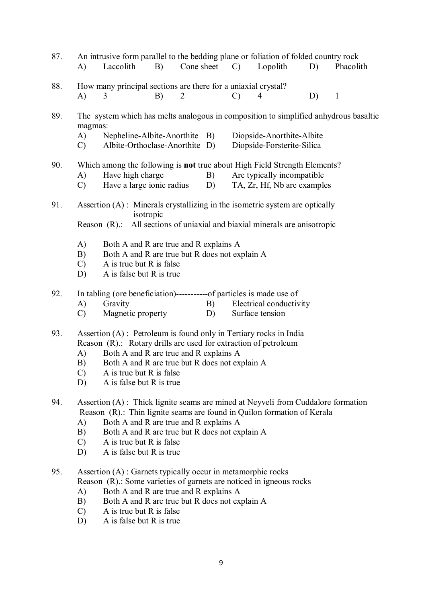| 87. | An intrusive form parallel to the bedding plane or foliation of folded country rock<br>Laccolith<br>B)<br>Cone sheet<br>Lopolith<br>A)<br>$\mathcal{C}$<br>D)<br>Phacolith                                                                                                                                                                          |  |  |  |  |  |  |  |  |  |
|-----|-----------------------------------------------------------------------------------------------------------------------------------------------------------------------------------------------------------------------------------------------------------------------------------------------------------------------------------------------------|--|--|--|--|--|--|--|--|--|
| 88. | How many principal sections are there for a uniaxial crystal?<br>A)<br>B)<br>2<br>$\mathcal{C}$<br>D)<br>$\mathbf{1}$<br>3<br>4                                                                                                                                                                                                                     |  |  |  |  |  |  |  |  |  |
| 89. | The system which has melts analogous in composition to simplified anhydrous basaltic<br>magmas:<br>A)<br>Nepheline-Albite-Anorthite B)<br>Diopside-Anorthite-Albite<br>Albite-Orthoclase-Anorthite D)<br>Diopside-Forsterite-Silica<br>$\mathcal{C}$                                                                                                |  |  |  |  |  |  |  |  |  |
| 90. | Which among the following is not true about High Field Strength Elements?<br>Have high charge<br>Are typically incompatible<br>A)<br>B)<br>Have a large ionic radius<br>TA, Zr, Hf, Nb are examples<br>$\mathcal{C}$<br>D)                                                                                                                          |  |  |  |  |  |  |  |  |  |
| 91. | Assertion $(A)$ : Minerals crystallizing in the isometric system are optically<br>isotropic<br>Reason (R).: All sections of uniaxial and biaxial minerals are anisotropic                                                                                                                                                                           |  |  |  |  |  |  |  |  |  |
|     | A)<br>Both A and R are true and R explains A<br>Both A and R are true but R does not explain A<br>B)<br>A is true but R is false<br>$\mathcal{C}$<br>A is false but R is true<br>D)                                                                                                                                                                 |  |  |  |  |  |  |  |  |  |
| 92. | In tabling (ore beneficiation)------------of particles is made use of<br>B)<br>Electrical conductivity<br>A)<br>Gravity<br>Magnetic property<br>$\mathcal{C}$<br>Surface tension<br>D)                                                                                                                                                              |  |  |  |  |  |  |  |  |  |
| 93. | Assertion (A) : Petroleum is found only in Tertiary rocks in India<br>Reason (R).: Rotary drills are used for extraction of petroleum<br>Both A and R are true and R explains A<br>A)<br>Both A and R are true but R does not explain A<br>B)<br>A is true but R is false<br>$\mathcal{C}$<br>A is false but R is true<br>D)                        |  |  |  |  |  |  |  |  |  |
| 94. | Assertion (A) : Thick lignite seams are mined at Neyveli from Cuddalore formation<br>Reason (R).: Thin lignite seams are found in Quilon formation of Kerala<br>Both A and R are true and R explains A<br>A)<br>B)<br>Both A and R are true but R does not explain A<br>A is true but R is false<br>$\mathcal{C}$<br>A is false but R is true<br>D) |  |  |  |  |  |  |  |  |  |
| 95. | Assertion (A) : Garnets typically occur in metamorphic rocks<br>Reason (R).: Some varieties of garnets are noticed in igneous rocks<br>Both A and R are true and R explains A<br>A)<br>Both A and R are true but R does not explain A<br>B)<br>$\mathcal{C}$<br>A is true but R is false                                                            |  |  |  |  |  |  |  |  |  |

D) A is false but R is true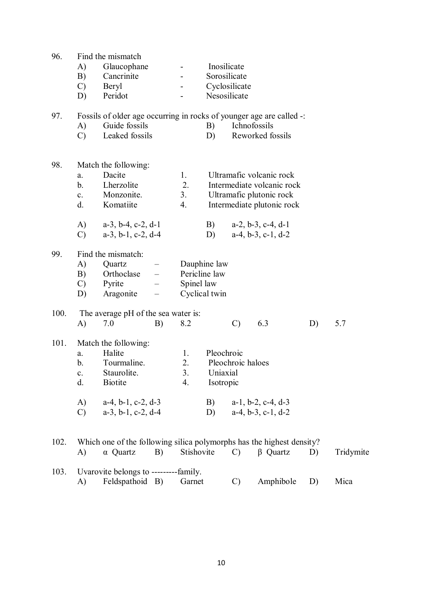| 96.  |                | Find the mismatch                                                     |                                                      |               |               |                             |                               |    |           |  |  |
|------|----------------|-----------------------------------------------------------------------|------------------------------------------------------|---------------|---------------|-----------------------------|-------------------------------|----|-----------|--|--|
|      | A)<br>B)       | Glaucophane<br>Cancrinite                                             |                                                      |               |               | Inosilicate<br>Sorosilicate |                               |    |           |  |  |
|      | $\mathcal{C}$  | Beryl                                                                 |                                                      |               | Cyclosilicate |                             |                               |    |           |  |  |
|      | D)             | Peridot                                                               |                                                      |               | Nesosilicate  |                             |                               |    |           |  |  |
| 97.  |                | Fossils of older age occurring in rocks of younger age are called -:  |                                                      |               |               |                             |                               |    |           |  |  |
|      | A)             | Guide fossils                                                         |                                                      |               | B)            | Ichnofossils                |                               |    |           |  |  |
|      | $\mathcal{C}$  | Leaked fossils                                                        |                                                      |               | D)            |                             | Reworked fossils              |    |           |  |  |
| 98.  |                | Match the following:                                                  |                                                      |               |               |                             |                               |    |           |  |  |
|      | a.             | Dacite                                                                |                                                      | 1.            |               |                             | Ultramafic volcanic rock      |    |           |  |  |
|      | b <sub>1</sub> | Lherzolite                                                            |                                                      | 2.            |               |                             | Intermediate volcanic rock    |    |           |  |  |
|      | $c_{\cdot}$    | Monzonite.                                                            |                                                      | 3.            |               |                             | Ultramafic plutonic rock      |    |           |  |  |
|      | d.             | Komatiite                                                             |                                                      | 4.            |               |                             | Intermediate plutonic rock    |    |           |  |  |
|      | A)             | $a-3$ , $b-4$ , $c-2$ , $d-1$                                         |                                                      |               | B)            |                             | $a-2, b-3, c-4, d-1$          |    |           |  |  |
|      | $\mathcal{C}$  | $a-3$ , $b-1$ , $c-2$ , $d-4$                                         |                                                      |               | D)            |                             | $a-4, b-3, c-1, d-2$          |    |           |  |  |
| 99.  |                | Find the mismatch:                                                    |                                                      |               |               |                             |                               |    |           |  |  |
|      | A)<br>B)       | Quartz<br>Orthoclase                                                  | $\qquad \qquad -$<br>$\frac{1}{2}$ and $\frac{1}{2}$ | Pericline law | Dauphine law  |                             |                               |    |           |  |  |
|      | $\mathcal{C}$  | Pyrite                                                                |                                                      | Spinel law    |               |                             |                               |    |           |  |  |
|      | D)             | Aragonite                                                             | $\overline{\phantom{0}}$                             |               | Cyclical twin |                             |                               |    |           |  |  |
| 100. |                | The average pH of the sea water is:                                   |                                                      |               |               |                             |                               |    |           |  |  |
|      | A)             | 7.0                                                                   | B)                                                   | 8.2           |               | $\mathcal{C}$               | 6.3                           | D) | 5.7       |  |  |
| 101. |                | Match the following:                                                  |                                                      |               |               |                             |                               |    |           |  |  |
|      | a.<br>b.       | Halite<br>Tourmaline.                                                 |                                                      | 1.<br>2.      | Pleochroic    | Pleochroic haloes           |                               |    |           |  |  |
|      | $\mathbf{c}$ . | <b>Staurolite</b>                                                     |                                                      | 3.            | Uniaxial      |                             |                               |    |           |  |  |
|      | d.             | <b>Biotite</b>                                                        |                                                      | 4.            | Isotropic     |                             |                               |    |           |  |  |
|      | A)             | $a-4$ , $b-1$ , $c-2$ , $d-3$                                         |                                                      |               | B)            |                             | $a-1$ , $b-2$ , $c-4$ , $d-3$ |    |           |  |  |
|      | $\mathcal{C}$  | $a-3$ , $b-1$ , $c-2$ , $d-4$                                         |                                                      |               | D)            |                             | $a-4, b-3, c-1, d-2$          |    |           |  |  |
| 102. |                | Which one of the following silica polymorphs has the highest density? |                                                      |               |               |                             |                               |    |           |  |  |
|      | A)             | $\alpha$ Quartz                                                       | B)                                                   | Stishovite    |               | $\mathbf{C}$ )              | $\beta$ Quartz                | D) | Tridymite |  |  |
| 103. |                | Uvarovite belongs to ----------family.                                |                                                      |               |               |                             |                               |    |           |  |  |
|      | A)             | Feldspathoid B)                                                       |                                                      | Garnet        |               | $\mathcal{C}$               | Amphibole                     | D) | Mica      |  |  |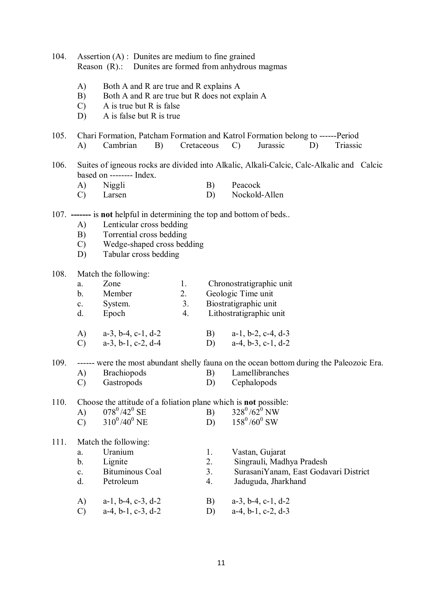| 104. | Assertion $(A)$ : Dunites are medium to fine grained<br>Reason (R).: Dunites are formed from anhydrous magmas |                                                                                                                                       |                |    |                                                                                                                               |  |  |  |  |  |  |  |
|------|---------------------------------------------------------------------------------------------------------------|---------------------------------------------------------------------------------------------------------------------------------------|----------------|----|-------------------------------------------------------------------------------------------------------------------------------|--|--|--|--|--|--|--|
|      | A)<br>B)                                                                                                      | Both A and R are true and R explains A<br>Both A and R are true but R does not explain A<br>A is true but R is false<br>$\mathcal{C}$ |                |    |                                                                                                                               |  |  |  |  |  |  |  |
|      | D)                                                                                                            | A is false but R is true                                                                                                              |                |    |                                                                                                                               |  |  |  |  |  |  |  |
| 105. | A)                                                                                                            | Cambrian<br>B)                                                                                                                        | Cretaceous     |    | Chari Formation, Patcham Formation and Katrol Formation belong to ------Period<br>Jurassic<br>Triassic<br>D)<br>$\mathcal{C}$ |  |  |  |  |  |  |  |
| 106. | Suites of igneous rocks are divided into Alkalic, Alkali-Calcic, Calc-Alkalic and Calcic                      |                                                                                                                                       |                |    |                                                                                                                               |  |  |  |  |  |  |  |
|      |                                                                                                               | based on -------- Index.                                                                                                              |                |    |                                                                                                                               |  |  |  |  |  |  |  |
|      | A)                                                                                                            | Niggli                                                                                                                                |                | B) | Peacock                                                                                                                       |  |  |  |  |  |  |  |
|      | $\mathcal{C}$                                                                                                 | Larsen                                                                                                                                |                | D) | Nockold-Allen                                                                                                                 |  |  |  |  |  |  |  |
|      |                                                                                                               | 107. ------- is not helpful in determining the top and bottom of beds                                                                 |                |    |                                                                                                                               |  |  |  |  |  |  |  |
|      | A)                                                                                                            | Lenticular cross bedding                                                                                                              |                |    |                                                                                                                               |  |  |  |  |  |  |  |
|      | B)                                                                                                            | Torrential cross bedding                                                                                                              |                |    |                                                                                                                               |  |  |  |  |  |  |  |
|      | $\mathcal{C}$                                                                                                 | Wedge-shaped cross bedding                                                                                                            |                |    |                                                                                                                               |  |  |  |  |  |  |  |
|      | D)                                                                                                            | Tabular cross bedding                                                                                                                 |                |    |                                                                                                                               |  |  |  |  |  |  |  |
| 108. |                                                                                                               | Match the following:                                                                                                                  |                |    |                                                                                                                               |  |  |  |  |  |  |  |
|      | a.                                                                                                            | Zone                                                                                                                                  | 1.             |    | Chronostratigraphic unit                                                                                                      |  |  |  |  |  |  |  |
|      | $b_{\cdot}$                                                                                                   | Member                                                                                                                                | 2.             |    | Geologic Time unit                                                                                                            |  |  |  |  |  |  |  |
|      | c.                                                                                                            | System.                                                                                                                               | 3 <sub>1</sub> |    | Biostratigraphic unit                                                                                                         |  |  |  |  |  |  |  |
|      | d.                                                                                                            | Epoch                                                                                                                                 | 4.             |    | Lithostratigraphic unit                                                                                                       |  |  |  |  |  |  |  |
|      |                                                                                                               | A) $a-3, b-4, c-1, d-2$                                                                                                               |                | B) | $a-1$ , $b-2$ , $c-4$ , $d-3$                                                                                                 |  |  |  |  |  |  |  |
|      | $\mathcal{C}$                                                                                                 | $a-3$ , $b-1$ , $c-2$ , $d-4$                                                                                                         |                | D) | $a-4, b-3, c-1, d-2$                                                                                                          |  |  |  |  |  |  |  |
| 109. |                                                                                                               |                                                                                                                                       |                |    | ------ were the most abundant shelly fauna on the ocean bottom during the Paleozoic Era.                                      |  |  |  |  |  |  |  |
|      | A)                                                                                                            | <b>Brachiopods</b>                                                                                                                    |                | B) | Lamellibranches                                                                                                               |  |  |  |  |  |  |  |
|      | $\mathcal{C}$                                                                                                 | Gastropods                                                                                                                            |                | D) | Cephalopods                                                                                                                   |  |  |  |  |  |  |  |
| 110. |                                                                                                               | Choose the attitude of a foliation plane which is <b>not</b> possible:                                                                |                |    |                                                                                                                               |  |  |  |  |  |  |  |
|      | A)                                                                                                            | $078^{\rm 0}/42^{\rm 0}$ SE                                                                                                           |                | B) | $328^0/62^0$ NW                                                                                                               |  |  |  |  |  |  |  |
|      | $\mathcal{C}$                                                                                                 | $310^0/40^0$ NE                                                                                                                       |                | D) | $158^0/60^0$ SW                                                                                                               |  |  |  |  |  |  |  |
| 111. |                                                                                                               | Match the following:                                                                                                                  |                |    |                                                                                                                               |  |  |  |  |  |  |  |
|      | a.                                                                                                            | Uranium                                                                                                                               |                | 1. | Vastan, Gujarat                                                                                                               |  |  |  |  |  |  |  |
|      | b.                                                                                                            | Lignite                                                                                                                               |                | 2. | Singrauli, Madhya Pradesh                                                                                                     |  |  |  |  |  |  |  |
|      | $\mathbf{c}$ .                                                                                                | <b>Bituminous Coal</b>                                                                                                                |                | 3. | SurasaniYanam, East Godavari District                                                                                         |  |  |  |  |  |  |  |
|      | d.                                                                                                            | Petroleum                                                                                                                             |                | 4. | Jaduguda, Jharkhand                                                                                                           |  |  |  |  |  |  |  |
|      | A)                                                                                                            | $a-1$ , $b-4$ , $c-3$ , $d-2$                                                                                                         |                | B) | $a-3$ , $b-4$ , $c-1$ , $d-2$                                                                                                 |  |  |  |  |  |  |  |
|      | $\mathcal{C}$                                                                                                 | $a-4$ , $b-1$ , $c-3$ , $d-2$                                                                                                         |                | D) | $a-4$ , $b-1$ , $c-2$ , $d-3$                                                                                                 |  |  |  |  |  |  |  |